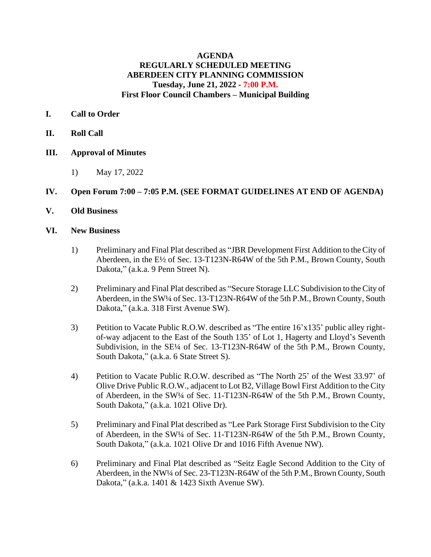# **AGENDA REGULARLY SCHEDULED MEETING ABERDEEN CITY PLANNING COMMISSION Tuesday, June 21, 2022 - 7:00 P.M. First Floor Council Chambers – Municipal Building**

# **I. Call to Order**

- **II. Roll Call**
- **III. Approval of Minutes**
	- 1) May 17, 2022

# **IV. Open Forum 7:00 – 7:05 P.M. (SEE FORMAT GUIDELINES AT END OF AGENDA)**

**V. Old Business**

## **VI. New Business**

- 1) Preliminary and Final Plat described as "JBR Development First Addition to the City of Aberdeen, in the E½ of Sec. 13-T123N-R64W of the 5th P.M., Brown County, South Dakota," (a.k.a. 9 Penn Street N).
- 2) Preliminary and Final Plat described as "Secure Storage LLC Subdivision to the City of Aberdeen, in the SW¼ of Sec. 13-T123N-R64W of the 5th P.M., Brown County, South Dakota," (a.k.a. 318 First Avenue SW).
- 3) Petition to Vacate Public R.O.W. described as "The entire 16'x135' public alley rightof-way adjacent to the East of the South 135' of Lot 1, Hagerty and Lloyd's Seventh Subdivision, in the SE<sup>1/4</sup> of Sec. 13-T123N-R64W of the 5th P.M., Brown County, South Dakota," (a.k.a. 6 State Street S).
- 4) Petition to Vacate Public R.O.W. described as "The North 25' of the West 33.97' of Olive Drive Public R.O.W., adjacent to Lot B2, Village Bowl First Addition to the City of Aberdeen, in the SW¼ of Sec. 11-T123N-R64W of the 5th P.M., Brown County, South Dakota," (a.k.a. 1021 Olive Dr).
- 5) Preliminary and Final Plat described as "Lee Park Storage First Subdivision to the City of Aberdeen, in the SW¼ of Sec. 11-T123N-R64W of the 5th P.M., Brown County, South Dakota," (a.k.a. 1021 Olive Dr and 1016 Fifth Avenue NW).
- 6) Preliminary and Final Plat described as "Seitz Eagle Second Addition to the City of Aberdeen, in the NW¼ of Sec. 23-T123N-R64W of the 5th P.M., Brown County, South Dakota," (a.k.a. 1401 & 1423 Sixth Avenue SW).